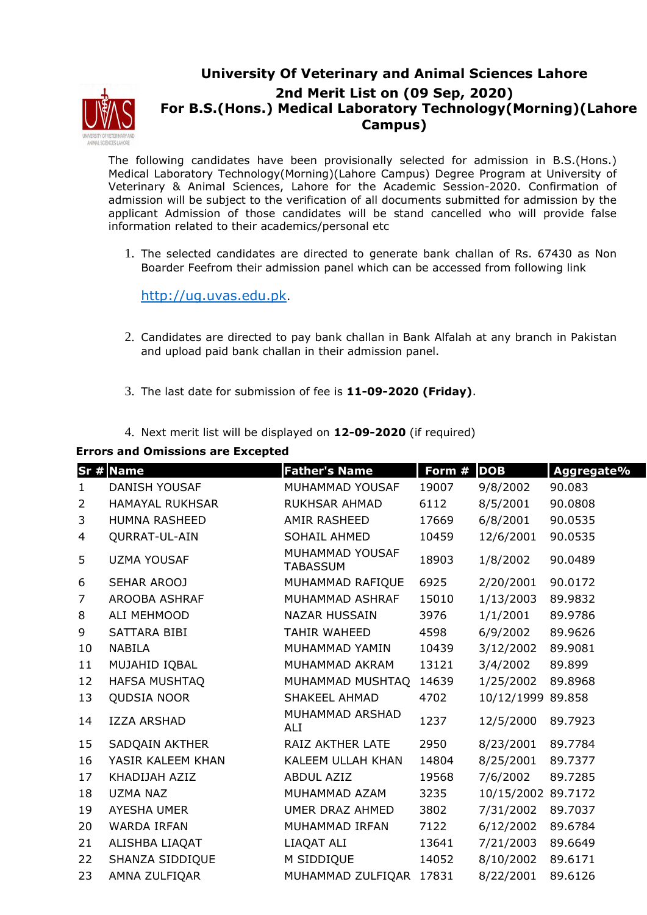

## **University Of Veterinary and Animal Sciences Lahore 2nd Merit List on (09 Sep, 2020) For B.S.(Hons.) Medical Laboratory Technology(Morning)(Lahore Campus)**

The following candidates have been provisionally selected for admission in B.S.(Hons.) Medical Laboratory Technology(Morning)(Lahore Campus) Degree Program at University of Veterinary & Animal Sciences, Lahore for the Academic Session-2020. Confirmation of admission will be subject to the verification of all documents submitted for admission by the applicant Admission of those candidates will be stand cancelled who will provide false information related to their academics/personal etc

1. The selected candidates are directed to generate bank challan of Rs. 67430 as Non Boarder Feefrom their admission panel which can be accessed from following link

http://ug.uvas.edu.pk.

- 2. Candidates are directed to pay bank challan in Bank Alfalah at any branch in Pakistan and upload paid bank challan in their admission panel.
- 3. The last date for submission of fee is **11-09-2020 (Friday)**.
- 4. Next merit list will be displayed on **12-09-2020** (if required)

## **Errors and Omissions are Excepted**

|                | Sr # Name              | <b>Father's Name</b>               | Form # | <b>DOB</b>         | Aggregate% |
|----------------|------------------------|------------------------------------|--------|--------------------|------------|
| $\mathbf{1}$   | <b>DANISH YOUSAF</b>   | MUHAMMAD YOUSAF                    | 19007  | 9/8/2002           | 90.083     |
| $\overline{2}$ | <b>HAMAYAL RUKHSAR</b> | <b>RUKHSAR AHMAD</b>               | 6112   | 8/5/2001           | 90.0808    |
| 3              | <b>HUMNA RASHEED</b>   | AMIR RASHEED                       | 17669  | 6/8/2001           | 90.0535    |
| 4              | QURRAT-UL-AIN          | SOHAIL AHMED                       | 10459  | 12/6/2001          | 90.0535    |
| 5              | <b>UZMA YOUSAF</b>     | MUHAMMAD YOUSAF<br><b>TABASSUM</b> | 18903  | 1/8/2002           | 90.0489    |
| 6              | SEHAR AROOJ            | MUHAMMAD RAFIQUE                   | 6925   | 2/20/2001          | 90.0172    |
| $\overline{7}$ | <b>AROOBA ASHRAF</b>   | MUHAMMAD ASHRAF                    | 15010  | 1/13/2003          | 89.9832    |
| 8              | ALI MEHMOOD            | <b>NAZAR HUSSAIN</b>               | 3976   | 1/1/2001           | 89.9786    |
| 9              | SATTARA BIBI           | <b>TAHIR WAHEED</b>                | 4598   | 6/9/2002           | 89.9626    |
| 10             | <b>NABILA</b>          | MUHAMMAD YAMIN                     | 10439  | 3/12/2002          | 89.9081    |
| 11             | MUJAHID IQBAL          | MUHAMMAD AKRAM                     | 13121  | 3/4/2002           | 89.899     |
| 12             | <b>HAFSA MUSHTAQ</b>   | MUHAMMAD MUSHTAQ                   | 14639  | 1/25/2002          | 89.8968    |
| 13             | <b>QUDSIA NOOR</b>     | <b>SHAKEEL AHMAD</b>               | 4702   | 10/12/1999 89.858  |            |
| 14             | <b>IZZA ARSHAD</b>     | MUHAMMAD ARSHAD<br>ALI             | 1237   | 12/5/2000          | 89.7923    |
| 15             | SADQAIN AKTHER         | RAIZ AKTHER LATE                   | 2950   | 8/23/2001          | 89.7784    |
| 16             | YASIR KALEEM KHAN      | KALEEM ULLAH KHAN                  | 14804  | 8/25/2001          | 89.7377    |
| 17             | KHADIJAH AZIZ          | <b>ABDUL AZIZ</b>                  | 19568  | 7/6/2002           | 89.7285    |
| 18             | <b>UZMA NAZ</b>        | MUHAMMAD AZAM                      | 3235   | 10/15/2002 89.7172 |            |
| 19             | <b>AYESHA UMER</b>     | UMER DRAZ AHMED                    | 3802   | 7/31/2002          | 89.7037    |
| 20             | <b>WARDA IRFAN</b>     | MUHAMMAD IRFAN                     | 7122   | 6/12/2002          | 89.6784    |
| 21             | ALISHBA LIAQAT         | LIAQAT ALI                         | 13641  | 7/21/2003          | 89.6649    |
| 22             | SHANZA SIDDIQUE        | M SIDDIQUE                         | 14052  | 8/10/2002          | 89.6171    |
| 23             | AMNA ZULFIQAR          | MUHAMMAD ZULFIQAR 17831            |        | 8/22/2001          | 89.6126    |